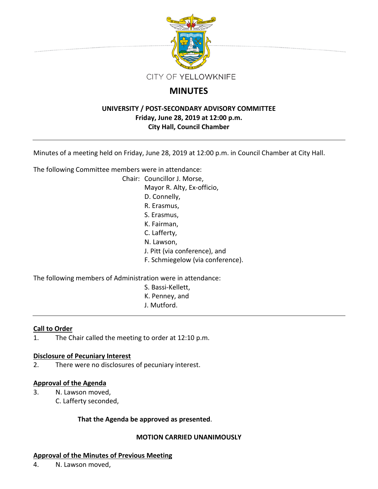

# **MINUTES**

## **UNIVERSITY / POST-SECONDARY ADVISORY COMMITTEE Friday, June 28, 2019 at 12:00 p.m. City Hall, Council Chamber**

Minutes of a meeting held on Friday, June 28, 2019 at 12:00 p.m. in Council Chamber at City Hall.

The following Committee members were in attendance:

Chair: Councillor J. Morse, Mayor R. Alty, Ex-officio, D. Connelly, R. Erasmus, S. Erasmus, K. Fairman, C. Lafferty, N. Lawson, J. Pitt (via conference), and F. Schmiegelow (via conference).

The following members of Administration were in attendance:

- S. Bassi-Kellett,
- K. Penney, and
- J. Mutford.

## **Call to Order**

1. The Chair called the meeting to order at 12:10 p.m.

## **Disclosure of Pecuniary Interest**

2. There were no disclosures of pecuniary interest.

## **Approval of the Agenda**

- 3. N. Lawson moved,
	- C. Lafferty seconded,

## **That the Agenda be approved as presented**.

## **MOTION CARRIED UNANIMOUSLY**

## **Approval of the Minutes of Previous Meeting**

4. N. Lawson moved,